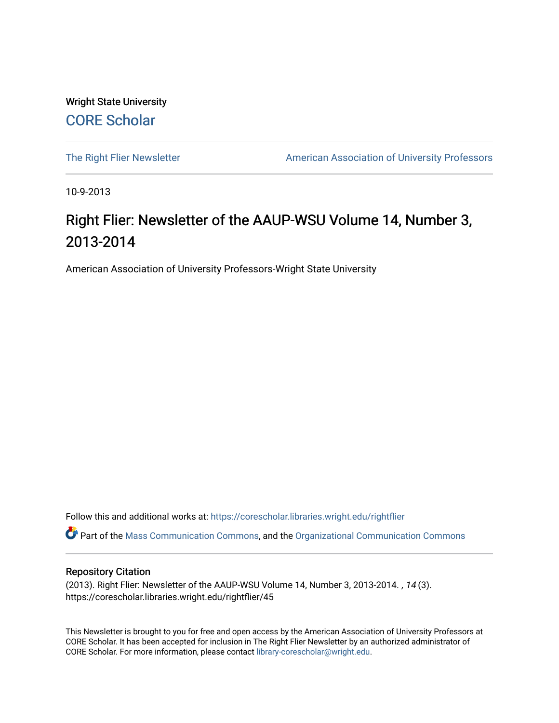Wright State University [CORE Scholar](https://corescholar.libraries.wright.edu/)

[The Right Flier Newsletter](https://corescholar.libraries.wright.edu/rightflier) **American Association of University Professors** 

10-9-2013

## Right Flier: Newsletter of the AAUP-WSU Volume 14, Number 3, 2013-2014

American Association of University Professors-Wright State University

Follow this and additional works at: [https://corescholar.libraries.wright.edu/rightflier](https://corescholar.libraries.wright.edu/rightflier?utm_source=corescholar.libraries.wright.edu%2Frightflier%2F45&utm_medium=PDF&utm_campaign=PDFCoverPages) 

Part of the [Mass Communication Commons,](http://network.bepress.com/hgg/discipline/334?utm_source=corescholar.libraries.wright.edu%2Frightflier%2F45&utm_medium=PDF&utm_campaign=PDFCoverPages) and the [Organizational Communication Commons](http://network.bepress.com/hgg/discipline/335?utm_source=corescholar.libraries.wright.edu%2Frightflier%2F45&utm_medium=PDF&utm_campaign=PDFCoverPages) 

#### Repository Citation

(2013). Right Flier: Newsletter of the AAUP-WSU Volume 14, Number 3, 2013-2014. , 14 (3). https://corescholar.libraries.wright.edu/rightflier/45

This Newsletter is brought to you for free and open access by the American Association of University Professors at CORE Scholar. It has been accepted for inclusion in The Right Flier Newsletter by an authorized administrator of CORE Scholar. For more information, please contact [library-corescholar@wright.edu](mailto:library-corescholar@wright.edu).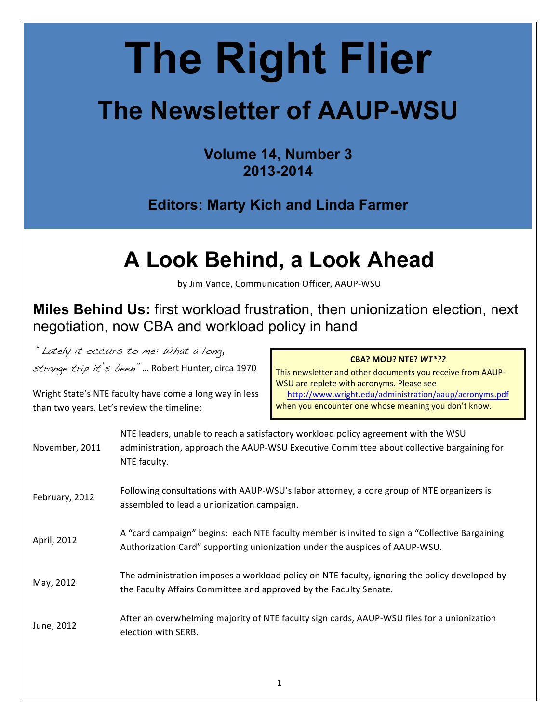# **The Right Flier**

# **The Newsletter of AAUP-WSU**

**Volume 14, Number 3 2013-2014**

**Editors: Marty Kich and Linda Farmer**

## **A Look Behind, a Look Ahead**

by Jim Vance, Communication Officer, AAUP-WSU

**Miles Behind Us:** first workload frustration, then unionization election, next negotiation, now CBA and workload policy in hand

"Lately it occurs to me: What a long, strange trip it's been" ... Robert Hunter, circa 1970

Wright State's NTE faculty have come a long way in less

than two years. Let's review the timeline:

#### **CBA? MOU? NTE?** *WT\*??*

This newsletter and other documents you receive from AAUP-WSU are replete with acronyms. Please see <http://www.wright.edu/administration/aaup/acronyms.pdf> when you encounter one whose meaning you don't know.

| November, 2011 | NTE leaders, unable to reach a satisfactory workload policy agreement with the WSU<br>administration, approach the AAUP-WSU Executive Committee about collective bargaining for<br>NTE faculty. |
|----------------|-------------------------------------------------------------------------------------------------------------------------------------------------------------------------------------------------|
| February, 2012 | Following consultations with AAUP-WSU's labor attorney, a core group of NTE organizers is<br>assembled to lead a unionization campaign.                                                         |
| April, 2012    | A "card campaign" begins: each NTE faculty member is invited to sign a "Collective Bargaining<br>Authorization Card" supporting unionization under the auspices of AAUP-WSU.                    |
| May, 2012      | The administration imposes a workload policy on NTE faculty, ignoring the policy developed by<br>the Faculty Affairs Committee and approved by the Faculty Senate.                              |
| June, 2012     | After an overwhelming majority of NTE faculty sign cards, AAUP-WSU files for a unionization<br>election with SERB.                                                                              |
|                |                                                                                                                                                                                                 |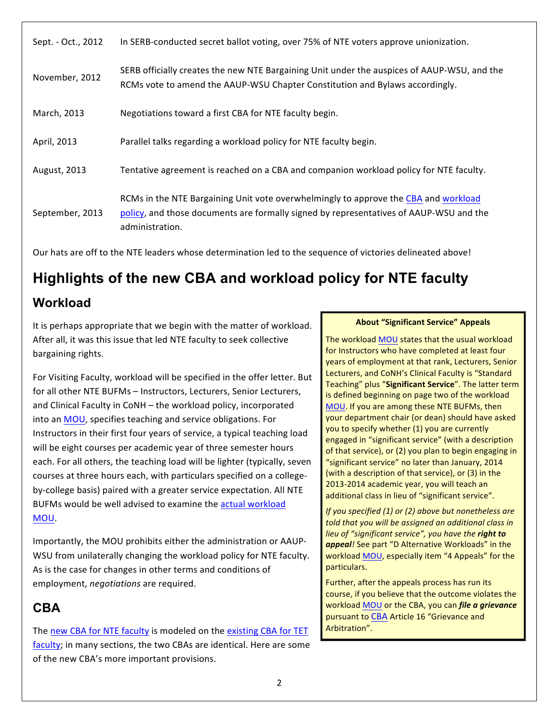| Sept. - Oct., 2012 | In SERB-conducted secret ballot voting, over 75% of NTE voters approve unionization.                                                                                                             |
|--------------------|--------------------------------------------------------------------------------------------------------------------------------------------------------------------------------------------------|
| November, 2012     | SERB officially creates the new NTE Bargaining Unit under the auspices of AAUP-WSU, and the<br>RCMs vote to amend the AAUP-WSU Chapter Constitution and Bylaws accordingly.                      |
| March, 2013        | Negotiations toward a first CBA for NTE faculty begin.                                                                                                                                           |
| April, 2013        | Parallel talks regarding a workload policy for NTE faculty begin.                                                                                                                                |
| August, 2013       | Tentative agreement is reached on a CBA and companion workload policy for NTE faculty.                                                                                                           |
| September, 2013    | RCMs in the NTE Bargaining Unit vote overwhelmingly to approve the CBA and workload<br>policy, and those documents are formally signed by representatives of AAUP-WSU and the<br>administration. |

Our hats are off to the NTE leaders whose determination led to the sequence of victories delineated above!

## **Highlights of the new CBA and workload policy for NTE faculty Workload**

It is perhaps appropriate that we begin with the matter of workload. After all, it was this issue that led NTE faculty to seek collective bargaining rights.

For Visiting Faculty, workload will be specified in the offer letter. But for all other NTE BUFMs - Instructors, Lecturers, Senior Lecturers, and Clinical Faculty in CoNH - the workload policy, incorporated into an MOU, specifies teaching and service obligations. For Instructors in their first four years of service, a typical teaching load will be eight courses per academic year of three semester hours each. For all others, the teaching load will be lighter (typically, seven courses at three hours each, with particulars specified on a collegeby-college basis) paired with a greater service expectation. All NTE BUFMs would be well advised to examine the actual workload [MOU.](http://www.wright.edu/administration/aaup/signed-nte-workload-mou.pdf)

Importantly, the MOU prohibits either the administration or AAUP-WSU from unilaterally changing the workload policy for NTE faculty. As is the case for changes in other terms and conditions of employment, *negotiations* are required.

## **CBA**

The new CBA for NTE faculty is modeled on the existing CBA for TET [faculty;](http://www.wright.edu/administration/aaup/2011-2014-CBA.pdf) in many sections, the two CBAs are identical. Here are some of the new CBA's more important provisions.

#### **About "Significant Service" Appeals**

The workload MOU states that the usual workload for Instructors who have completed at least four years of employment at that rank, Lecturers, Senior Lecturers, and CoNH's Clinical Faculty is "Standard Teaching" plus "Significant Service". The latter term is defined beginning on page two of the workload MOU. If you are among these NTE BUFMs, then your department chair (or dean) should have asked you to specify whether (1) you are currently engaged in "significant service" (with a description of that service), or (2) you plan to begin engaging in "significant service" no later than January, 2014 (with a description of that service), or (3) in the 2013-2014 academic year, you will teach an additional class in lieu of "significant service".

*If you specified (1) or (2) above but nonetheless are told* that you will be assigned an additional class in lieu of "significant service", you have the **right to** appeal! See part "D Alternative Workloads" in the workload MOU, especially item "4 Appeals" for the particulars.

Further, after the appeals process has run its course, if you believe that the outcome violates the workload MOU or the CBA, you can *file a grievance* pursuant to CBA Article 16 "Grievance and Arbitration".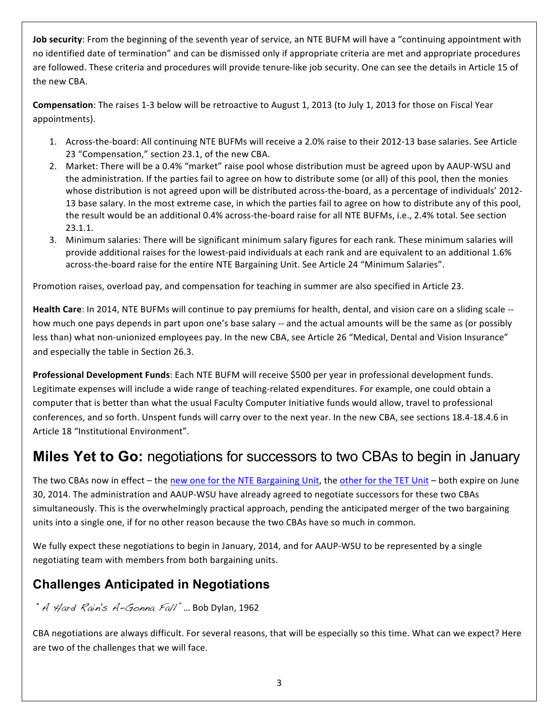**Job security**: From the beginning of the seventh year of service, an NTE BUFM will have a "continuing appointment with no identified date of termination" and can be dismissed only if appropriate criteria are met and appropriate procedures are followed. These criteria and procedures will provide tenure-like job security. One can see the details in Article 15 of the new CBA.

**Compensation**: The raises 1-3 below will be retroactive to August 1, 2013 (to July 1, 2013 for those on Fiscal Year appointments).

- 1. Across-the-board: All continuing NTE BUFMs will receive a 2.0% raise to their 2012-13 base salaries. See Article 23 "Compensation," section 23.1, of the new CBA.
- 2. Market: There will be a 0.4% "market" raise pool whose distribution must be agreed upon by AAUP-WSU and the administration. If the parties fail to agree on how to distribute some (or all) of this pool, then the monies whose distribution is not agreed upon will be distributed across-the-board, as a percentage of individuals' 2012-13 base salary. In the most extreme case, in which the parties fail to agree on how to distribute any of this pool, the result would be an additional 0.4% across-the-board raise for all NTE BUFMs, i.e., 2.4% total. See section 23.1.1.
- 3. Minimum salaries: There will be significant minimum salary figures for each rank. These minimum salaries will provide additional raises for the lowest-paid individuals at each rank and are equivalent to an additional 1.6% across-the-board raise for the entire NTE Bargaining Unit. See Article 24 "Minimum Salaries".

Promotion raises, overload pay, and compensation for teaching in summer are also specified in Article 23.

**Health Care**: In 2014, NTE BUFMs will continue to pay premiums for health, dental, and vision care on a sliding scale -how much one pays depends in part upon one's base salary -- and the actual amounts will be the same as (or possibly less than) what non-unionized employees pay. In the new CBA, see Article 26 "Medical, Dental and Vision Insurance" and especially the table in Section 26.3.

**Professional Development Funds**: Each NTE BUFM will receive \$500 per year in professional development funds. Legitimate expenses will include a wide range of teaching-related expenditures. For example, one could obtain a computer that is better than what the usual Faculty Computer Initiative funds would allow, travel to professional conferences, and so forth. Unspent funds will carry over to the next year. In the new CBA, see sections 18.4-18.4.6 in Article 18 "Institutional Environment".

## **Miles Yet to Go:** negotiations for successors to two CBAs to begin in January

The two CBAs now in effect – the new one for the NTE Bargaining Unit, the other for the TET Unit – both expire on June 30, 2014. The administration and AAUP-WSU have already agreed to negotiate successors for these two CBAs simultaneously. This is the overwhelmingly practical approach, pending the anticipated merger of the two bargaining units into a single one, if for no other reason because the two CBAs have so much in common.

We fully expect these negotiations to begin in January, 2014, and for AAUP-WSU to be represented by a single negotiating team with members from both bargaining units.

## **Challenges Anticipated in Negotiations**

## $A$  Hard Rain's A-Gonna Fall" ... Bob Dylan, 1962

CBA negotiations are always difficult. For several reasons, that will be especially so this time. What can we expect? Here are two of the challenges that we will face.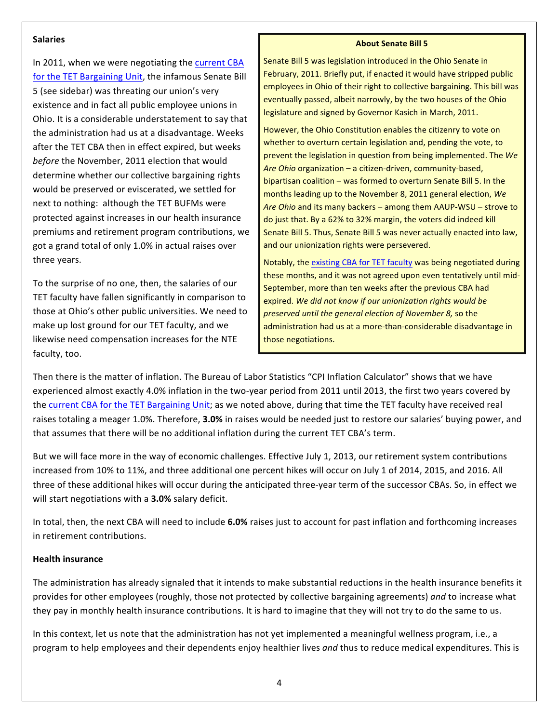#### **Salaries**

In 2011, when we were negotiating the current CBA for the TET Bargaining Unit, the infamous Senate Bill 5 (see sidebar) was threating our union's very existence and in fact all public employee unions in Ohio. It is a considerable understatement to say that the administration had us at a disadvantage. Weeks after the TET CBA then in effect expired, but weeks before the November, 2011 election that would determine whether our collective bargaining rights would be preserved or eviscerated, we settled for next to nothing: although the TET BUFMs were protected against increases in our health insurance premiums and retirement program contributions, we got a grand total of only 1.0% in actual raises over three years.

To the surprise of no one, then, the salaries of our TET faculty have fallen significantly in comparison to those at Ohio's other public universities. We need to make up lost ground for our TET faculty, and we likewise need compensation increases for the NTE faculty, too.

#### **About Senate Bill 5**

Senate Bill 5 was legislation introduced in the Ohio Senate in February, 2011. Briefly put, if enacted it would have stripped public employees in Ohio of their right to collective bargaining. This bill was eventually passed, albeit narrowly, by the two houses of the Ohio legislature and signed by Governor Kasich in March, 2011.

However, the Ohio Constitution enables the citizenry to vote on whether to overturn certain legislation and, pending the vote, to prevent the legislation in question from being implemented. The We Are Ohio organization – a citizen-driven, community-based, bipartisan coalition  $-$  was formed to overturn Senate Bill 5. In the months leading up to the November 8, 2011 general election, We Are Ohio and its many backers – among them AAUP-WSU – strove to do just that. By a 62% to 32% margin, the voters did indeed kill Senate Bill 5. Thus, Senate Bill 5 was never actually enacted into law, and our unionization rights were persevered.

Notably, the existing CBA for TET faculty was being negotiated during these months, and it was not agreed upon even tentatively until mid-September, more than ten weeks after the previous CBA had expired. We did not know if our unionization rights would be *preserved until the general election of November 8,* so the administration had us at a more-than-considerable disadvantage in those negotiations.

Then there is the matter of inflation. The Bureau of Labor Statistics "CPI Inflation Calculator" shows that we have experienced almost exactly 4.0% inflation in the two-year period from 2011 until 2013, the first two years covered by the current CBA for the TET Bargaining Unit; as we noted above, during that time the TET faculty have received real raises totaling a meager 1.0%. Therefore, **3.0%** in raises would be needed just to restore our salaries' buying power, and that assumes that there will be no additional inflation during the current TET CBA's term.

But we will face more in the way of economic challenges. Effective July 1, 2013, our retirement system contributions increased from 10% to 11%, and three additional one percent hikes will occur on July 1 of 2014, 2015, and 2016. All three of these additional hikes will occur during the anticipated three-year term of the successor CBAs. So, in effect we will start negotiations with a 3.0% salary deficit.

In total, then, the next CBA will need to include 6.0% raises just to account for past inflation and forthcoming increases in retirement contributions.

#### **Health insurance**

The administration has already signaled that it intends to make substantial reductions in the health insurance benefits it provides for other employees (roughly, those not protected by collective bargaining agreements) and to increase what they pay in monthly health insurance contributions. It is hard to imagine that they will not try to do the same to us.

In this context, let us note that the administration has not yet implemented a meaningful wellness program, i.e., a program to help employees and their dependents enjoy healthier lives and thus to reduce medical expenditures. This is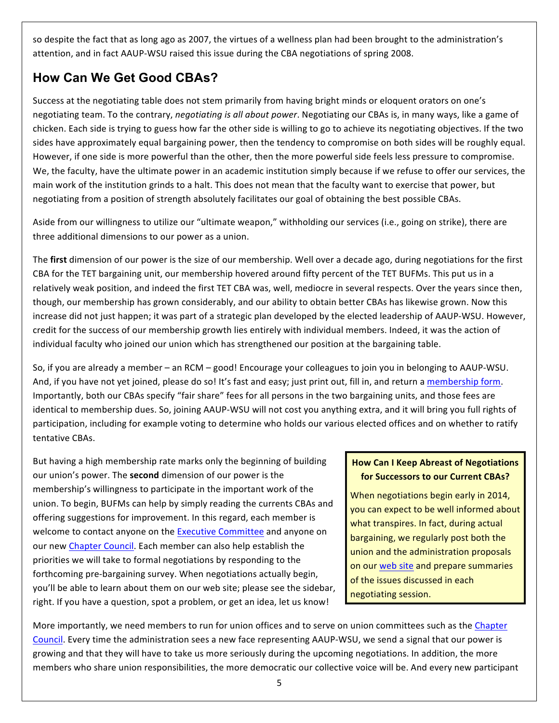so despite the fact that as long ago as 2007, the virtues of a wellness plan had been brought to the administration's attention, and in fact AAUP-WSU raised this issue during the CBA negotiations of spring 2008.

## **How Can We Get Good CBAs?**

Success at the negotiating table does not stem primarily from having bright minds or eloquent orators on one's negotiating team. To the contrary, *negotiating is all about power*. Negotiating our CBAs is, in many ways, like a game of chicken. Each side is trying to guess how far the other side is willing to go to achieve its negotiating objectives. If the two sides have approximately equal bargaining power, then the tendency to compromise on both sides will be roughly equal. However, if one side is more powerful than the other, then the more powerful side feels less pressure to compromise. We, the faculty, have the ultimate power in an academic institution simply because if we refuse to offer our services, the main work of the institution grinds to a halt. This does not mean that the faculty want to exercise that power, but negotiating from a position of strength absolutely facilitates our goal of obtaining the best possible CBAs.

Aside from our willingness to utilize our "ultimate weapon," withholding our services (i.e., going on strike), there are three additional dimensions to our power as a union.

The first dimension of our power is the size of our membership. Well over a decade ago, during negotiations for the first CBA for the TET bargaining unit, our membership hovered around fifty percent of the TET BUFMs. This put us in a relatively weak position, and indeed the first TET CBA was, well, mediocre in several respects. Over the years since then, though, our membership has grown considerably, and our ability to obtain better CBAs has likewise grown. Now this increase did not just happen; it was part of a strategic plan developed by the elected leadership of AAUP-WSU. However, credit for the success of our membership growth lies entirely with individual members. Indeed, it was the action of individual faculty who joined our union which has strengthened our position at the bargaining table.

So, if you are already a member – an RCM – good! Encourage your colleagues to join you in belonging to AAUP-WSU. And, if you have not yet joined, please do so! It's fast and easy; just print out, fill in, and return a membership form. Importantly, both our CBAs specify "fair share" fees for all persons in the two bargaining units, and those fees are identical to membership dues. So, joining AAUP-WSU will not cost you anything extra, and it will bring you full rights of participation, including for example voting to determine who holds our various elected offices and on whether to ratify tentative CBAs.

But having a high membership rate marks only the beginning of building our union's power. The **second** dimension of our power is the membership's willingness to participate in the important work of the union. To begin, BUFMs can help by simply reading the currents CBAs and offering suggestions for improvement. In this regard, each member is welcome to contact anyone on the Executive Committee and anyone on our new Chapter Council. Each member can also help establish the priorities we will take to formal negotiations by responding to the forthcoming pre-bargaining survey. When negotiations actually begin, you'll be able to learn about them on our web site; please see the sidebar, right. If you have a question, spot a problem, or get an idea, let us know!

## **How Can I Keep Abreast of Negotiations for Successors to our Current CBAs?**

When negotiations begin early in 2014, you can expect to be well informed about what transpires. In fact, during actual bargaining, we regularly post both the union and the administration proposals on our web site and prepare summaries of the issues discussed in each negotiating session.

More importantly, we need members to run for union offices and to serve on union committees such as the Chapter Council. Every time the administration sees a new face representing AAUP-WSU, we send a signal that our power is growing and that they will have to take us more seriously during the upcoming negotiations. In addition, the more members who share union responsibilities, the more democratic our collective voice will be. And every new participant